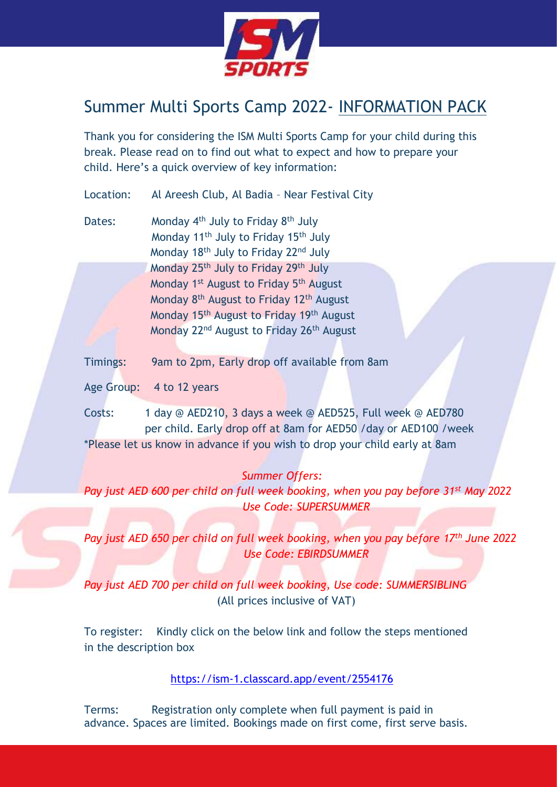

# Summer Multi Sports Camp 2022- INFORMATION PACK

Thank you for considering the ISM Multi Sports Camp for your child during this break. Please read on to find out what to expect and how to prepare your child. Here's a quick overview of key information:

Location: Al Areesh Club, Al Badia – Near Festival City

- Dates: Monday 4<sup>th</sup> July to Friday 8<sup>th</sup> July Monday 11<sup>th</sup> July to Friday 15<sup>th</sup> July Monday 18<sup>th</sup> July to Friday 22<sup>nd</sup> July Monday 25<sup>th</sup> July to Friday 29<sup>th</sup> July Monday 1<sup>st</sup> August to Friday 5<sup>th</sup> August Monday 8<sup>th</sup> August to Friday 12<sup>th</sup> August Monday 15th August to Friday 19th August Monday 22<sup>nd</sup> August to Friday 26<sup>th</sup> August
- Timings: 9am to 2pm, Early drop off available from 8am
- Age Group: 4 to 12 years

Costs: 1 day @ AED210, 3 days a week @ AED525, Full week @ AED780 per child. Early drop off at 8am for AED50 /day or AED100 /week \*Please let us know in advance if you wish to drop your child early at 8am

# *Summer Offers:*

*Pay just AED 600 per child on full week booking, when you pay before 31st May 2022 Use Code: SUPERSUMMER*

*Pay just AED 650 per child on full week booking, when you pay before 17th June 2022 Use Code: EBIRDSUMMER*

*Pay just AED 700 per child on full week booking, Use code: SUMMERSIBLING* (All prices inclusive of VAT)

To register: Kindly click on the below link and follow the steps mentioned in the description box

<https://ism-1.classcard.app/event/2554176>

Terms: Registration only complete when full payment is paid in advance. Spaces are limited. Bookings made on first come, first serve basis.